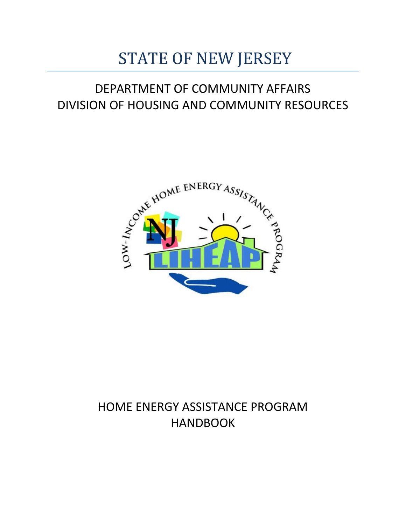# STATE OF NEW JERSEY

# DEPARTMENT OF COMMUNITY AFFAIRS DIVISION OF HOUSING AND COMMUNITY RESOURCES



# HOME ENERGY ASSISTANCE PROGRAM HANDBOOK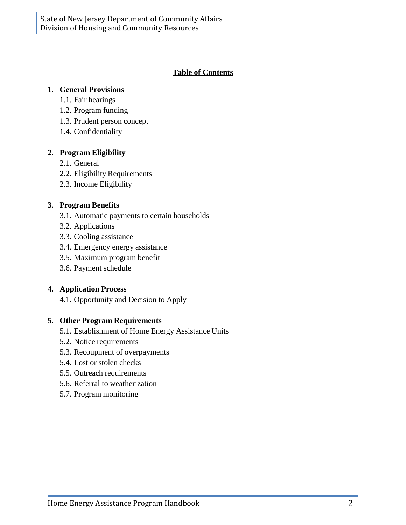#### **Table of Contents**

#### **1. General Provisions**

- 1.1. Fair hearings
- 1.2. Program funding
- 1.3. Prudent person concept
- 1.4. Confidentiality

#### **2. Program Eligibility**

- 2.1. General
- 2.2. Eligibility Requirements
- 2.3. Income Eligibility

#### **3. Program Benefits**

- 3.1. Automatic payments to certain households
- 3.2. Applications
- 3.3. Cooling assistance
- 3.4. Emergency energy assistance
- 3.5. Maximum program benefit
- 3.6. Payment schedule

#### **4. Application Process**

4.1. Opportunity and Decision to Apply

#### **5. Other Program Requirements**

- 5.1. Establishment of Home Energy Assistance Units
- 5.2. Notice requirements
- 5.3. Recoupment of overpayments
- 5.4. Lost or stolen checks
- 5.5. Outreach requirements
- 5.6. Referral to weatherization
- 5.7. Program monitoring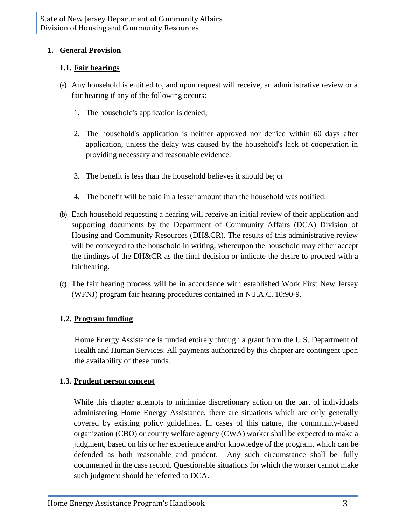# **1. General Provision**

# **1.1. Fair hearings**

- (a) Any household is entitled to, and upon request will receive, an administrative review or a fair hearing if any of the following occurs:
	- 1. The household's application is denied;
	- 2. The household's application is neither approved nor denied within 60 days after application, unless the delay was caused by the household's lack of cooperation in providing necessary and reasonable evidence.
	- 3. The benefit is less than the household believes it should be; or
	- 4. The benefit will be paid in a lesser amount than the household was notified.
- (b) Each household requesting a hearing will receive an initial review of their application and supporting documents by the Department of Community Affairs (DCA) Division of Housing and Community Resources (DH&CR). The results of this administrative review will be conveyed to the household in writing, whereupon the household may either accept the findings of the DH&CR as the final decision or indicate the desire to proceed with a fair hearing.
- (c) The fair hearing process will be in accordance with established Work First New Jersey (WFNJ) program fair hearing procedures contained in N.J.A.C. 10:90-9.

# **1.2. Program funding**

Home Energy Assistance is funded entirely through a grant from the U.S. Department of Health and Human Services. All payments authorized by this chapter are contingent upon the availability of these funds.

# **1.3. Prudent person concept**

While this chapter attempts to minimize discretionary action on the part of individuals administering Home Energy Assistance, there are situations which are only generally covered by existing policy guidelines. In cases of this nature, the community-based organization (CBO) or county welfare agency (CWA) worker shall be expected to make a judgment, based on his or her experience and/or knowledge of the program, which can be defended as both reasonable and prudent. Any such circumstance shall be fully documented in the case record. Questionable situations for which the worker cannot make such judgment should be referred to DCA.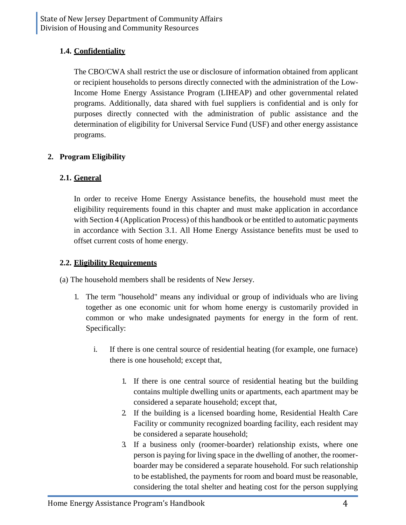# **1.4. Confidentiality**

The CBO/CWA shall restrict the use or disclosure of information obtained from applicant or recipient households to persons directly connected with the administration of the Low-Income Home Energy Assistance Program (LIHEAP) and other governmental related programs. Additionally, data shared with fuel suppliers is confidential and is only for purposes directly connected with the administration of public assistance and the determination of eligibility for Universal Service Fund (USF) and other energy assistance programs.

# **2. Program Eligibility**

# **2.1. General**

In order to receive Home Energy Assistance benefits, the household must meet the eligibility requirements found in this chapter and must make application in accordance with Section 4 (Application Process) of this handbook or be entitled to automatic payments in accordance with Section 3.1. All Home Energy Assistance benefits must be used to offset current costs of home energy.

# **2.2. Eligibility Requirements**

(a) The household members shall be residents of New Jersey.

- 1. The term "household" means any individual or group of individuals who are living together as one economic unit for whom home energy is customarily provided in common or who make undesignated payments for energy in the form of rent. Specifically:
	- i. If there is one central source of residential heating (for example, one furnace) there is one household; except that,
		- 1. If there is one central source of residential heating but the building contains multiple dwelling units or apartments, each apartment may be considered a separate household; except that,
		- 2. If the building is a licensed boarding home, Residential Health Care Facility or community recognized boarding facility, each resident may be considered a separate household;
		- 3. If a business only (roomer-boarder) relationship exists, where one person is paying for living space in the dwelling of another, the roomerboarder may be considered a separate household. For such relationship to be established, the payments for room and board must be reasonable, considering the total shelter and heating cost for the person supplying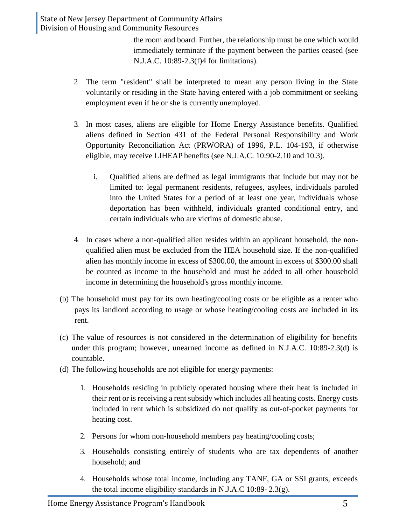the room and board. Further, the relationship must be one which would immediately terminate if the payment between the parties ceased (see N.J.A.C. 10:89-2.3(f)4 for limitations).

- 2. The term "resident" shall be interpreted to mean any person living in the State voluntarily or residing in the State having entered with a job commitment or seeking employment even if he or she is currently unemployed.
- 3. In most cases, aliens are eligible for Home Energy Assistance benefits. Qualified aliens defined in Section 431 of the Federal Personal Responsibility and Work Opportunity Reconciliation Act (PRWORA) of 1996, P.L. 104-193, if otherwise eligible, may receive LIHEAP benefits (see N.J.A.C. 10:90-2.10 and 10.3).
	- i. Qualified aliens are defined as legal immigrants that include but may not be limited to: legal permanent residents, refugees, asylees, individuals paroled into the United States for a period of at least one year, individuals whose deportation has been withheld, individuals granted conditional entry, and certain individuals who are victims of domestic abuse.
- 4. In cases where a non-qualified alien resides within an applicant household, the nonqualified alien must be excluded from the HEA household size. If the non-qualified alien has monthly income in excess of \$300.00, the amount in excess of \$300.00 shall be counted as income to the household and must be added to all other household income in determining the household's gross monthly income.
- (b) The household must pay for its own heating/cooling costs or be eligible as a renter who pays its landlord according to usage or whose heating/cooling costs are included in its rent.
- (c) The value of resources is not considered in the determination of eligibility for benefits under this program; however, unearned income as defined in N.J.A.C. 10:89-2.3(d) is countable.
- (d) The following households are not eligible for energy payments:
	- 1. Households residing in publicly operated housing where their heat is included in their rent or is receiving a rent subsidy which includes all heating costs. Energy costs included in rent which is subsidized do not qualify as out-of-pocket payments for heating cost.
	- 2. Persons for whom non-household members pay heating/cooling costs;
	- 3. Households consisting entirely of students who are tax dependents of another household; and
	- 4. Households whose total income, including any TANF, GA or SSI grants, exceeds the total income eligibility standards in N.J.A.C 10:89- 2.3(g).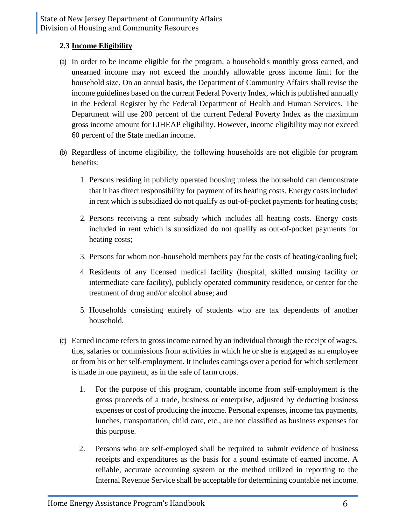#### **2.3 Income Eligibility**

- (a) In order to be income eligible for the program, a household's monthly gross earned, and unearned income may not exceed the monthly allowable gross income limit for the household size. On an annual basis, the Department of Community Affairs shall revise the income guidelines based on the current Federal Poverty Index, which is published annually in the Federal Register by the Federal Department of Health and Human Services. The Department will use 200 percent of the current Federal Poverty Index as the maximum gross income amount for LIHEAP eligibility. However, income eligibility may not exceed 60 percent of the State median income.
- (b) Regardless of income eligibility, the following households are not eligible for program benefits:
	- 1. Persons residing in publicly operated housing unless the household can demonstrate that it has direct responsibility for payment of its heating costs. Energy costs included in rent which is subsidized do not qualify as out-of-pocket payments for heating costs;
	- 2. Persons receiving a rent subsidy which includes all heating costs. Energy costs included in rent which is subsidized do not qualify as out-of-pocket payments for heating costs;
	- 3. Persons for whom non-household members pay for the costs of heating/cooling fuel;
	- 4. Residents of any licensed medical facility (hospital, skilled nursing facility or intermediate care facility), publicly operated community residence, or center for the treatment of drug and/or alcohol abuse; and
	- 5. Households consisting entirely of students who are tax dependents of another household.
- (c) Earned income refers to gross income earned by an individual through the receipt of wages, tips, salaries or commissions from activities in which he or she is engaged as an employee or from his or her self-employment. It includes earnings over a period for which settlement is made in one payment, as in the sale of farm crops.
	- 1. For the purpose of this program, countable income from self-employment is the gross proceeds of a trade, business or enterprise, adjusted by deducting business expenses or cost of producing the income. Personal expenses, income tax payments, lunches, transportation, child care, etc., are not classified as business expenses for this purpose.
	- 2. Persons who are self-employed shall be required to submit evidence of business receipts and expenditures as the basis for a sound estimate of earned income. A reliable, accurate accounting system or the method utilized in reporting to the Internal Revenue Service shall be acceptable for determining countable net income.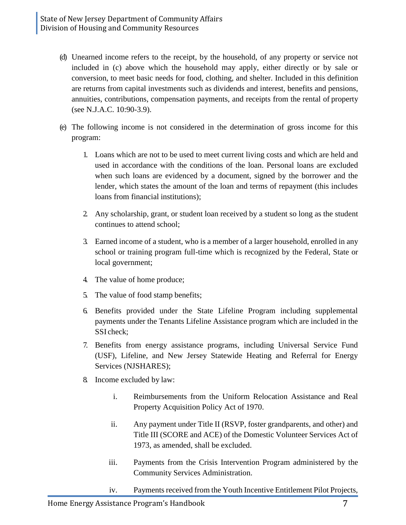- (d) Unearned income refers to the receipt, by the household, of any property or service not included in (c) above which the household may apply, either directly or by sale or conversion, to meet basic needs for food, clothing, and shelter. Included in this definition are returns from capital investments such as dividends and interest, benefits and pensions, annuities, contributions, compensation payments, and receipts from the rental of property (see N.J.A.C. 10:90-3.9).
- (e) The following income is not considered in the determination of gross income for this program:
	- 1. Loans which are not to be used to meet current living costs and which are held and used in accordance with the conditions of the loan. Personal loans are excluded when such loans are evidenced by a document, signed by the borrower and the lender, which states the amount of the loan and terms of repayment (this includes loans from financial institutions);
	- 2. Any scholarship, grant, or student loan received by a student so long as the student continues to attend school;
	- 3. Earned income of a student, who is a member of a larger household, enrolled in any school or training program full-time which is recognized by the Federal, State or local government;
	- 4. The value of home produce;
	- 5. The value of food stamp benefits;
	- 6. Benefits provided under the State Lifeline Program including supplemental payments under the Tenants Lifeline Assistance program which are included in the SSI check;
	- 7. Benefits from energy assistance programs, including Universal Service Fund (USF), Lifeline, and New Jersey Statewide Heating and Referral for Energy Services (NJSHARES);
	- 8. Income excluded by law:
		- i. Reimbursements from the Uniform Relocation Assistance and Real Property Acquisition Policy Act of 1970.
		- ii. Any payment under Title II (RSVP, foster grandparents, and other) and Title III (SCORE and ACE) of the Domestic Volunteer Services Act of 1973, as amended, shall be excluded.
		- iii. Payments from the Crisis Intervention Program administered by the Community Services Administration.
		- iv. Payments received from the Youth Incentive Entitlement Pilot Projects,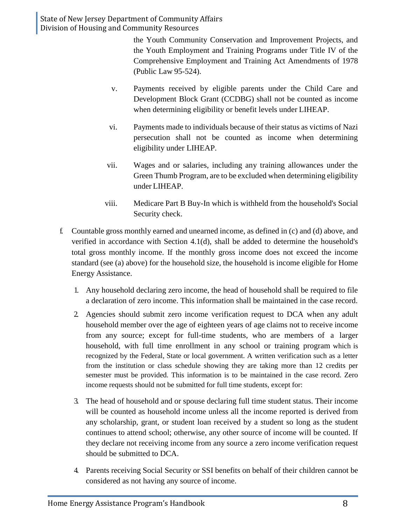the Youth Community Conservation and Improvement Projects, and the Youth Employment and Training Programs under Title IV of the Comprehensive Employment and Training Act Amendments of 1978 (Public Law 95-524).

- v. Payments received by eligible parents under the Child Care and Development Block Grant (CCDBG) shall not be counted as income when determining eligibility or benefit levels under LIHEAP.
- vi. Payments made to individuals because of their status as victims of Nazi persecution shall not be counted as income when determining eligibility under LIHEAP.
- vii. Wages and or salaries, including any training allowances under the Green Thumb Program, are to be excluded when determining eligibility under LIHEAP.
- viii. Medicare Part B Buy-In which is withheld from the household's Social Security check.
- f. Countable gross monthly earned and unearned income, as defined in (c) and (d) above, and verified in accordance with Section 4.1(d), shall be added to determine the household's total gross monthly income. If the monthly gross income does not exceed the income standard (see (a) above) for the household size, the household is income eligible for Home Energy Assistance.
	- 1. Any household declaring zero income, the head of household shall be required to file a declaration of zero income. This information shall be maintained in the case record.
	- 2. Agencies should submit zero income verification request to DCA when any adult household member over the age of eighteen years of age claims not to receive income from any source; except for full-time students, who are members of a larger household, with full time enrollment in any school or training program which is recognized by the Federal, State or local government. A written verification such as a letter from the institution or class schedule showing they are taking more than 12 credits per semester must be provided. This information is to be maintained in the case record. Zero income requests should not be submitted for full time students, except for:
	- 3. The head of household and or spouse declaring full time student status. Their income will be counted as household income unless all the income reported is derived from any scholarship, grant, or student loan received by a student so long as the student continues to attend school; otherwise, any other source of income will be counted. If they declare not receiving income from any source a zero income verification request should be submitted to DCA.
	- 4. Parents receiving Social Security or SSI benefits on behalf of their children cannot be considered as not having any source of income.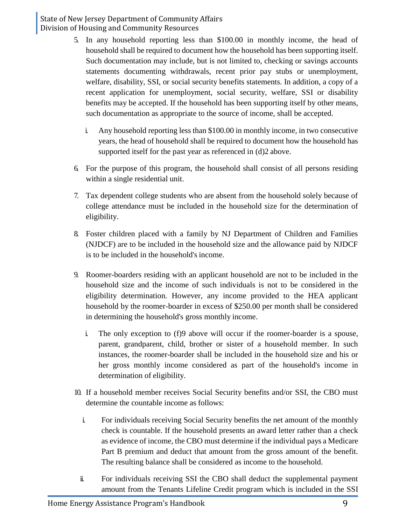- 5. In any household reporting less than \$100.00 in monthly income, the head of household shall be required to document how the household has been supporting itself. Such documentation may include, but is not limited to, checking or savings accounts statements documenting withdrawals, recent prior pay stubs or unemployment, welfare, disability, SSI, or social security benefits statements. In addition, a copy of a recent application for unemployment, social security, welfare, SSI or disability benefits may be accepted. If the household has been supporting itself by other means, such documentation as appropriate to the source of income, shall be accepted.
	- i. Any household reporting less than \$100.00 in monthly income, in two consecutive years, the head of household shall be required to document how the household has supported itself for the past year as referenced in (d)2 above.
- 6. For the purpose of this program, the household shall consist of all persons residing within a single residential unit.
- 7. Tax dependent college students who are absent from the household solely because of college attendance must be included in the household size for the determination of eligibility.
- 8. Foster children placed with a family by NJ Department of Children and Families (NJDCF) are to be included in the household size and the allowance paid by NJDCF is to be included in the household's income.
- 9. Roomer-boarders residing with an applicant household are not to be included in the household size and the income of such individuals is not to be considered in the eligibility determination. However, any income provided to the HEA applicant household by the roomer-boarder in excess of \$250.00 per month shall be considered in determining the household's gross monthly income.
	- i. The only exception to (f)9 above will occur if the roomer-boarder is a spouse, parent, grandparent, child, brother or sister of a household member. In such instances, the roomer-boarder shall be included in the household size and his or her gross monthly income considered as part of the household's income in determination of eligibility.
- 10. If a household member receives Social Security benefits and/or SSI, the CBO must determine the countable income as follows:
	- i. For individuals receiving Social Security benefits the net amount of the monthly check is countable. If the household presents an award letter rather than a check as evidence of income, the CBO must determine if the individual pays a Medicare Part B premium and deduct that amount from the gross amount of the benefit. The resulting balance shall be considered as income to the household.
- ii. For individuals receiving SSI the CBO shall deduct the supplemental payment amount from the Tenants Lifeline Credit program which is included in the SSI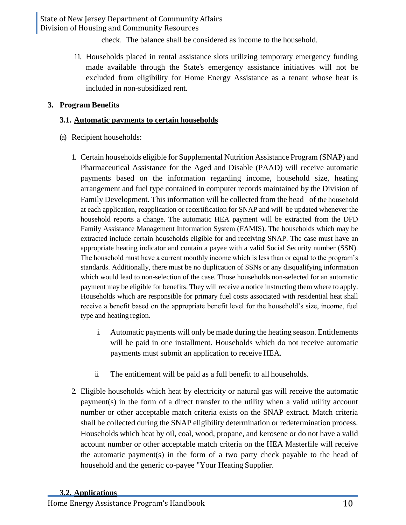check. The balance shall be considered as income to the household.

11. Households placed in rental assistance slots utilizing temporary emergency funding made available through the State's emergency assistance initiatives will not be excluded from eligibility for Home Energy Assistance as a tenant whose heat is included in non-subsidized rent.

#### **3. Program Benefits**

#### **3.1. Automatic payments to certain households**

- (a) Recipient households:
	- 1. Certain households eligible for Supplemental Nutrition Assistance Program (SNAP) and Pharmaceutical Assistance for the Aged and Disable (PAAD) will receive automatic payments based on the information regarding income, household size, heating arrangement and fuel type contained in computer records maintained by the Division of Family Development. This information will be collected from the head of the household at each application, reapplication or recertification for SNAP and will be updated whenever the household reports a change. The automatic HEA payment will be extracted from the DFD Family Assistance Management Information System (FAMIS). The households which may be extracted include certain households eligible for and receiving SNAP. The case must have an appropriate heating indicator and contain a payee with a valid Social Security number (SSN). The household must have a current monthly income which is less than or equal to the program's standards. Additionally, there must be no duplication of SSNs or any disqualifying information which would lead to non-selection of the case. Those households non-selected for an automatic payment may be eligible for benefits. They will receive a notice instructing them where to apply. Households which are responsible for primary fuel costs associated with residential heat shall receive a benefit based on the appropriate benefit level for the household's size, income, fuel type and heating region.
		- i. Automatic payments will only be made during the heating season. Entitlements will be paid in one installment. Households which do not receive automatic payments must submit an application to receive HEA.
		- ii. The entitlement will be paid as a full benefit to all households.
	- 2. Eligible households which heat by electricity or natural gas will receive the automatic payment(s) in the form of a direct transfer to the utility when a valid utility account number or other acceptable match criteria exists on the SNAP extract. Match criteria shall be collected during the SNAP eligibility determination or redetermination process. Households which heat by oil, coal, wood, propane, and kerosene or do not have a valid account number or other acceptable match criteria on the HEA Masterfile will receive the automatic payment(s) in the form of a two party check payable to the head of household and the generic co-payee "Your Heating Supplier.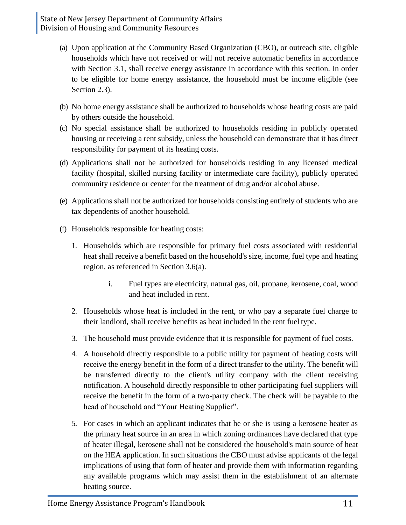- (a) Upon application at the Community Based Organization (CBO), or outreach site, eligible households which have not received or will not receive automatic benefits in accordance with Section 3.1, shall receive energy assistance in accordance with this section. In order to be eligible for home energy assistance, the household must be income eligible (see Section 2.3).
- (b) No home energy assistance shall be authorized to households whose heating costs are paid by others outside the household.
- (c) No special assistance shall be authorized to households residing in publicly operated housing or receiving a rent subsidy, unless the household can demonstrate that it has direct responsibility for payment of its heating costs.
- (d) Applications shall not be authorized for households residing in any licensed medical facility (hospital, skilled nursing facility or intermediate care facility), publicly operated community residence or center for the treatment of drug and/or alcohol abuse.
- (e) Applications shall not be authorized for households consisting entirely of students who are tax dependents of another household.
- (f) Households responsible for heating costs:
	- 1. Households which are responsible for primary fuel costs associated with residential heat shall receive a benefit based on the household's size, income, fuel type and heating region, as referenced in Section 3.6(a).
		- i. Fuel types are electricity, natural gas, oil, propane, kerosene, coal, wood and heat included in rent.
	- 2. Households whose heat is included in the rent, or who pay a separate fuel charge to their landlord, shall receive benefits as heat included in the rent fuel type.
	- 3. The household must provide evidence that it is responsible for payment of fuel costs.
	- 4. A household directly responsible to a public utility for payment of heating costs will receive the energy benefit in the form of a direct transfer to the utility. The benefit will be transferred directly to the client's utility company with the client receiving notification. A household directly responsible to other participating fuel suppliers will receive the benefit in the form of a two-party check. The check will be payable to the head of household and "Your Heating Supplier".
	- 5. For cases in which an applicant indicates that he or she is using a kerosene heater as the primary heat source in an area in which zoning ordinances have declared that type of heater illegal, kerosene shall not be considered the household's main source of heat on the HEA application. In such situations the CBO must advise applicants of the legal implications of using that form of heater and provide them with information regarding any available programs which may assist them in the establishment of an alternate heating source.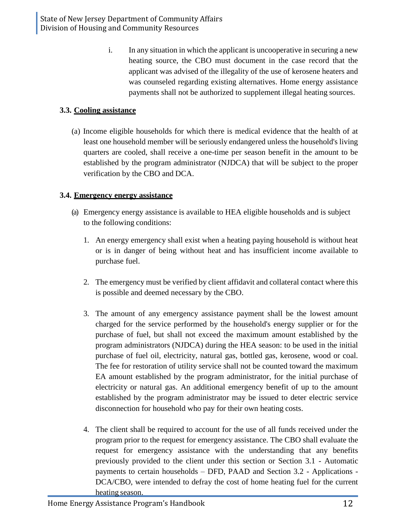i. In any situation in which the applicant is uncooperative in securing a new heating source, the CBO must document in the case record that the applicant was advised of the illegality of the use of kerosene heaters and was counseled regarding existing alternatives. Home energy assistance payments shall not be authorized to supplement illegal heating sources.

# **3.3. Cooling assistance**

(a) Income eligible households for which there is medical evidence that the health of at least one household member will be seriously endangered unless the household's living quarters are cooled, shall receive a one-time per season benefit in the amount to be established by the program administrator (NJDCA) that will be subject to the proper verification by the CBO and DCA.

# **3.4. Emergency energy assistance**

- (a) Emergency energy assistance is available to HEA eligible households and is subject to the following conditions:
	- 1. An energy emergency shall exist when a heating paying household is without heat or is in danger of being without heat and has insufficient income available to purchase fuel.
	- 2. The emergency must be verified by client affidavit and collateral contact where this is possible and deemed necessary by the CBO.
	- 3. The amount of any emergency assistance payment shall be the lowest amount charged for the service performed by the household's energy supplier or for the purchase of fuel, but shall not exceed the maximum amount established by the program administrators (NJDCA) during the HEA season: to be used in the initial purchase of fuel oil, electricity, natural gas, bottled gas, kerosene, wood or coal. The fee for restoration of utility service shall not be counted toward the maximum EA amount established by the program administrator, for the initial purchase of electricity or natural gas. An additional emergency benefit of up to the amount established by the program administrator may be issued to deter electric service disconnection for household who pay for their own heating costs.
	- 4. The client shall be required to account for the use of all funds received under the program prior to the request for emergency assistance. The CBO shall evaluate the request for emergency assistance with the understanding that any benefits previously provided to the client under this section or Section 3.1 - Automatic payments to certain households – DFD, PAAD and Section 3.2 - Applications - DCA/CBO, were intended to defray the cost of home heating fuel for the current heating season.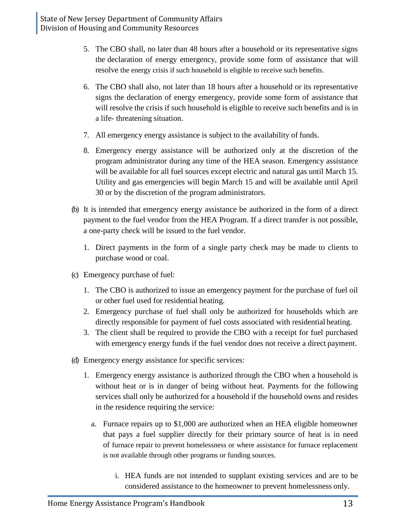- 5. The CBO shall, no later than 48 hours after a household or its representative signs the declaration of energy emergency, provide some form of assistance that will resolve the energy crisis if such household is eligible to receive such benefits.
- 6. The CBO shall also, not later than 18 hours after a household or its representative signs the declaration of energy emergency, provide some form of assistance that will resolve the crisis if such household is eligible to receive such benefits and is in a life- threatening situation.
- 7. All emergency energy assistance is subject to the availability of funds.
- 8. Emergency energy assistance will be authorized only at the discretion of the program administrator during any time of the HEA season. Emergency assistance will be available for all fuel sources except electric and natural gas until March 15. Utility and gas emergencies will begin March 15 and will be available until April 30 or by the discretion of the program administrators.
- (b) It is intended that emergency energy assistance be authorized in the form of a direct payment to the fuel vendor from the HEA Program. If a direct transfer is not possible, a one-party check will be issued to the fuel vendor.
	- 1. Direct payments in the form of a single party check may be made to clients to purchase wood or coal.
- (c) Emergency purchase of fuel:
	- 1. The CBO is authorized to issue an emergency payment for the purchase of fuel oil or other fuel used for residential heating.
	- 2. Emergency purchase of fuel shall only be authorized for households which are directly responsible for payment of fuel costs associated with residential heating.
	- 3. The client shall be required to provide the CBO with a receipt for fuel purchased with emergency energy funds if the fuel vendor does not receive a direct payment.
- (d) Emergency energy assistance for specific services:
	- 1. Emergency energy assistance is authorized through the CBO when a household is without heat or is in danger of being without heat. Payments for the following services shall only be authorized for a household if the household owns and resides in the residence requiring the service:
		- a. Furnace repairs up to \$1,000 are authorized when an HEA eligible homeowner that pays a fuel supplier directly for their primary source of heat is in need of furnace repair to prevent homelessness or where assistance for furnace replacement is not available through other programs or funding sources.
			- i. HEA funds are not intended to supplant existing services and are to be considered assistance to the homeowner to prevent homelessness only.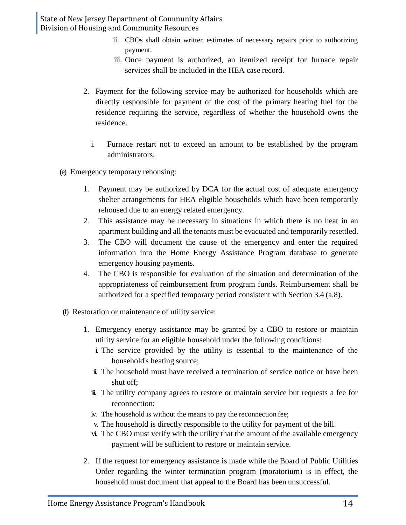- ii. CBOs shall obtain written estimates of necessary repairs prior to authorizing payment.
- iii. Once payment is authorized, an itemized receipt for furnace repair services shall be included in the HEA case record.
- 2. Payment for the following service may be authorized for households which are directly responsible for payment of the cost of the primary heating fuel for the residence requiring the service, regardless of whether the household owns the residence.
	- i. Furnace restart not to exceed an amount to be established by the program administrators.
- (e) Emergency temporary rehousing:
	- 1. Payment may be authorized by DCA for the actual cost of adequate emergency shelter arrangements for HEA eligible households which have been temporarily rehoused due to an energy related emergency.
	- 2. This assistance may be necessary in situations in which there is no heat in an apartment building and all the tenants must be evacuated and temporarily resettled.
	- 3. The CBO will document the cause of the emergency and enter the required information into the Home Energy Assistance Program database to generate emergency housing payments.
	- 4. The CBO is responsible for evaluation of the situation and determination of the appropriateness of reimbursement from program funds. Reimbursement shall be authorized for a specified temporary period consistent with Section 3.4 (a.8).
- (f) Restoration or maintenance of utility service:
	- 1. Emergency energy assistance may be granted by a CBO to restore or maintain utility service for an eligible household under the following conditions:
		- i. The service provided by the utility is essential to the maintenance of the household's heating source;
		- ii. The household must have received a termination of service notice or have been shut off;
		- iii. The utility company agrees to restore or maintain service but requests a fee for reconnection;
		- iv. The household is without the means to pay the reconnection fee;
		- v. The household is directly responsible to the utility for payment of the bill.
		- vi. The CBO must verify with the utility that the amount of the available emergency payment will be sufficient to restore or maintain service.
	- 2. If the request for emergency assistance is made while the Board of Public Utilities Order regarding the winter termination program (moratorium) is in effect, the household must document that appeal to the Board has been unsuccessful.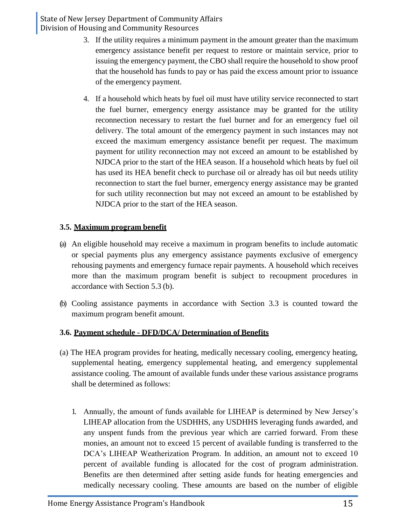- 3. If the utility requires a minimum payment in the amount greater than the maximum emergency assistance benefit per request to restore or maintain service, prior to issuing the emergency payment, the CBO shall require the household to show proof that the household has funds to pay or has paid the excess amount prior to issuance of the emergency payment.
- 4. If a household which heats by fuel oil must have utility service reconnected to start the fuel burner, emergency energy assistance may be granted for the utility reconnection necessary to restart the fuel burner and for an emergency fuel oil delivery. The total amount of the emergency payment in such instances may not exceed the maximum emergency assistance benefit per request. The maximum payment for utility reconnection may not exceed an amount to be established by NJDCA prior to the start of the HEA season. If a household which heats by fuel oil has used its HEA benefit check to purchase oil or already has oil but needs utility reconnection to start the fuel burner, emergency energy assistance may be granted for such utility reconnection but may not exceed an amount to be established by NJDCA prior to the start of the HEA season.

# **3.5. Maximum program benefit**

- (a) An eligible household may receive a maximum in program benefits to include automatic or special payments plus any emergency assistance payments exclusive of emergency rehousing payments and emergency furnace repair payments. A household which receives more than the maximum program benefit is subject to recoupment procedures in accordance with Section 5.3 (b).
- (b) Cooling assistance payments in accordance with Section 3.3 is counted toward the maximum program benefit amount.

# **3.6. Payment schedule - DFD/DCA/ Determination of Benefits**

- (a) The HEA program provides for heating, medically necessary cooling, emergency heating, supplemental heating, emergency supplemental heating, and emergency supplemental assistance cooling. The amount of available funds under these various assistance programs shall be determined as follows:
	- 1. Annually, the amount of funds available for LIHEAP is determined by New Jersey's LIHEAP allocation from the USDHHS, any USDHHS leveraging funds awarded, and any unspent funds from the previous year which are carried forward. From these monies, an amount not to exceed 15 percent of available funding is transferred to the DCA's LIHEAP Weatherization Program. In addition, an amount not to exceed 10 percent of available funding is allocated for the cost of program administration. Benefits are then determined after setting aside funds for heating emergencies and medically necessary cooling. These amounts are based on the number of eligible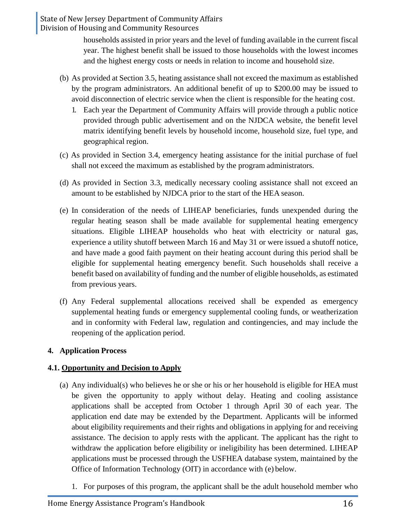> households assisted in prior years and the level of funding available in the current fiscal year. The highest benefit shall be issued to those households with the lowest incomes and the highest energy costs or needs in relation to income and household size.

- (b) As provided at Section 3.5, heating assistance shall not exceed the maximum as established by the program administrators. An additional benefit of up to \$200.00 may be issued to avoid disconnection of electric service when the client is responsible for the heating cost.
	- 1. Each year the Department of Community Affairs will provide through a public notice provided through public advertisement and on the NJDCA website, the benefit level matrix identifying benefit levels by household income, household size, fuel type, and geographical region.
- (c) As provided in Section 3.4, emergency heating assistance for the initial purchase of fuel shall not exceed the maximum as established by the program administrators.
- (d) As provided in Section 3.3, medically necessary cooling assistance shall not exceed an amount to be established by NJDCA prior to the start of the HEA season.
- (e) In consideration of the needs of LIHEAP beneficiaries, funds unexpended during the regular heating season shall be made available for supplemental heating emergency situations. Eligible LIHEAP households who heat with electricity or natural gas, experience a utility shutoff between March 16 and May 31 or were issued a shutoff notice, and have made a good faith payment on their heating account during this period shall be eligible for supplemental heating emergency benefit. Such households shall receive a benefit based on availability of funding and the number of eligible households, as estimated from previous years.
- (f) Any Federal supplemental allocations received shall be expended as emergency supplemental heating funds or emergency supplemental cooling funds, or weatherization and in conformity with Federal law, regulation and contingencies, and may include the reopening of the application period.

#### **4. Application Process**

#### **4.1. Opportunity and Decision to Apply**

- (a) Any individual(s) who believes he or she or his or her household is eligible for HEA must be given the opportunity to apply without delay. Heating and cooling assistance applications shall be accepted from October 1 through April 30 of each year. The application end date may be extended by the Department. Applicants will be informed about eligibility requirements and their rights and obligations in applying for and receiving assistance. The decision to apply rests with the applicant. The applicant has the right to withdraw the application before eligibility or ineligibility has been determined. LIHEAP applications must be processed through the USFHEA database system, maintained by the Office of Information Technology (OIT) in accordance with (e) below.
	- 1. For purposes of this program, the applicant shall be the adult household member who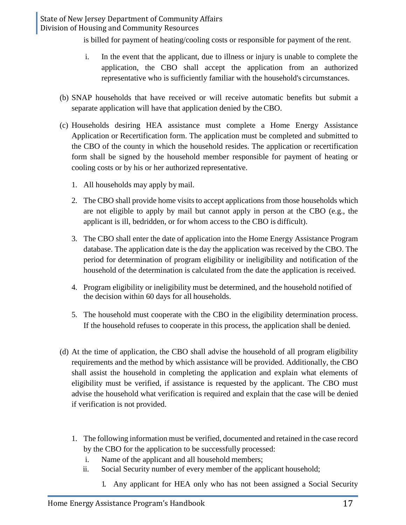is billed for payment of heating/cooling costs or responsible for payment of the rent.

- i. In the event that the applicant, due to illness or injury is unable to complete the application, the CBO shall accept the application from an authorized representative who is sufficiently familiar with the household's circumstances.
- (b) SNAP households that have received or will receive automatic benefits but submit a separate application will have that application denied by the CBO.
- (c) Households desiring HEA assistance must complete a Home Energy Assistance Application or Recertification form. The application must be completed and submitted to the CBO of the county in which the household resides. The application or recertification form shall be signed by the household member responsible for payment of heating or cooling costs or by his or her authorized representative.
	- 1. All households may apply by mail.
	- 2. The CBO shall provide home visits to accept applications from those households which are not eligible to apply by mail but cannot apply in person at the CBO (e.g., the applicant is ill, bedridden, or for whom access to the CBO is difficult).
	- 3. The CBO shall enter the date of application into the Home Energy Assistance Program database. The application date is the day the application was received by the CBO. The period for determination of program eligibility or ineligibility and notification of the household of the determination is calculated from the date the application is received.
	- 4. Program eligibility or ineligibility must be determined, and the household notified of the decision within 60 days for all households.
	- 5. The household must cooperate with the CBO in the eligibility determination process. If the household refuses to cooperate in this process, the application shall be denied.
- (d) At the time of application, the CBO shall advise the household of all program eligibility requirements and the method by which assistance will be provided. Additionally, the CBO shall assist the household in completing the application and explain what elements of eligibility must be verified, if assistance is requested by the applicant. The CBO must advise the household what verification is required and explain that the case will be denied if verification is not provided.
	- 1. The following information must be verified, documented and retained in the case record by the CBO for the application to be successfully processed:
		- i. Name of the applicant and all household members;
		- ii. Social Security number of every member of the applicant household;
			- 1. Any applicant for HEA only who has not been assigned a Social Security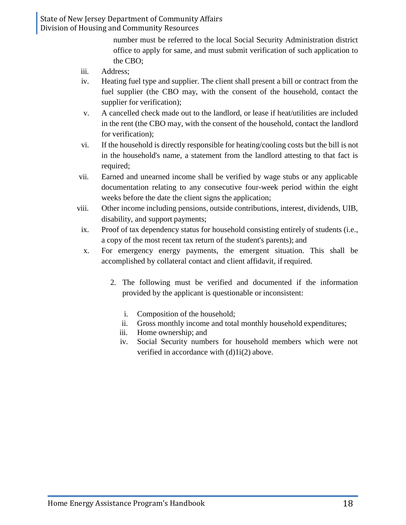> number must be referred to the local Social Security Administration district office to apply for same, and must submit verification of such application to the CBO;

- iii. Address;
- iv. Heating fuel type and supplier. The client shall present a bill or contract from the fuel supplier (the CBO may, with the consent of the household, contact the supplier for verification);
- v. A cancelled check made out to the landlord, or lease if heat/utilities are included in the rent (the CBO may, with the consent of the household, contact the landlord for verification);
- vi. If the household is directly responsible for heating/cooling costs but the bill is not in the household's name, a statement from the landlord attesting to that fact is required;
- vii. Earned and unearned income shall be verified by wage stubs or any applicable documentation relating to any consecutive four-week period within the eight weeks before the date the client signs the application;
- viii. Other income including pensions, outside contributions, interest, dividends, UIB, disability, and support payments;
- ix. Proof of tax dependency status for household consisting entirely of students (i.e., a copy of the most recent tax return of the student's parents); and
- x. For emergency energy payments, the emergent situation. This shall be accomplished by collateral contact and client affidavit, if required.
	- 2. The following must be verified and documented if the information provided by the applicant is questionable or inconsistent:
		- i. Composition of the household;
		- ii. Gross monthly income and total monthly household expenditures;
		- iii. Home ownership; and
		- iv. Social Security numbers for household members which were not verified in accordance with (d)1i(2) above.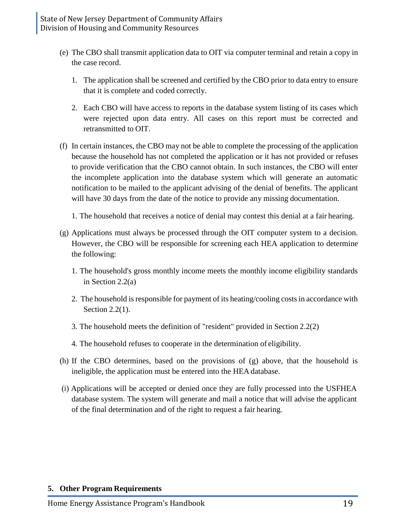- (e) The CBO shall transmit application data to OIT via computer terminal and retain a copy in the case record.
	- 1. The application shall be screened and certified by the CBO prior to data entry to ensure that it is complete and coded correctly.
	- 2. Each CBO will have access to reports in the database system listing of its cases which were rejected upon data entry. All cases on this report must be corrected and retransmitted to OIT.
- (f) In certain instances, the CBO may not be able to complete the processing of the application because the household has not completed the application or it has not provided or refuses to provide verification that the CBO cannot obtain. In such instances, the CBO will enter the incomplete application into the database system which will generate an automatic notification to be mailed to the applicant advising of the denial of benefits. The applicant will have 30 days from the date of the notice to provide any missing documentation.
	- 1. The household that receives a notice of denial may contest this denial at a fair hearing.
- (g) Applications must always be processed through the OIT computer system to a decision. However, the CBO will be responsible for screening each HEA application to determine the following:
	- 1. The household's gross monthly income meets the monthly income eligibility standards in Section 2.2(a)
	- 2. The household is responsible for payment of its heating/cooling costs in accordance with Section 2.2(1).
	- 3. The household meets the definition of "resident" provided in Section 2.2(2)
	- 4. The household refuses to cooperate in the determination of eligibility.
- (h) If the CBO determines, based on the provisions of (g) above, that the household is ineligible, the application must be entered into the HEA database.
- (i) Applications will be accepted or denied once they are fully processed into the USFHEA database system. The system will generate and mail a notice that will advise the applicant of the final determination and of the right to request a fair hearing.

#### **5. Other Program Requirements**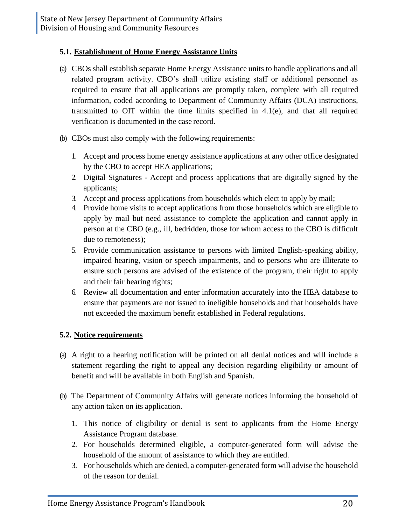#### **5.1. Establishment of Home Energy Assistance Units**

- (a) CBOs shall establish separate Home Energy Assistance units to handle applications and all related program activity. CBO's shall utilize existing staff or additional personnel as required to ensure that all applications are promptly taken, complete with all required information, coded according to Department of Community Affairs (DCA) instructions, transmitted to OIT within the time limits specified in 4.1(e), and that all required verification is documented in the case record.
- (b) CBOs must also comply with the following requirements:
	- 1. Accept and process home energy assistance applications at any other office designated by the CBO to accept HEA applications;
	- 2. Digital Signatures Accept and process applications that are digitally signed by the applicants;
	- 3. Accept and process applications from households which elect to apply by mail;
	- 4. Provide home visits to accept applications from those households which are eligible to apply by mail but need assistance to complete the application and cannot apply in person at the CBO (e.g., ill, bedridden, those for whom access to the CBO is difficult due to remoteness);
	- 5. Provide communication assistance to persons with limited English-speaking ability, impaired hearing, vision or speech impairments, and to persons who are illiterate to ensure such persons are advised of the existence of the program, their right to apply and their fair hearing rights;
	- 6. Review all documentation and enter information accurately into the HEA database to ensure that payments are not issued to ineligible households and that households have not exceeded the maximum benefit established in Federal regulations.

# **5.2. Notice requirements**

- (a) A right to a hearing notification will be printed on all denial notices and will include a statement regarding the right to appeal any decision regarding eligibility or amount of benefit and will be available in both English and Spanish.
- (b) The Department of Community Affairs will generate notices informing the household of any action taken on its application.
	- 1. This notice of eligibility or denial is sent to applicants from the Home Energy Assistance Program database.
	- 2. For households determined eligible, a computer-generated form will advise the household of the amount of assistance to which they are entitled.
	- 3. For households which are denied, a computer-generated form will advise the household of the reason for denial.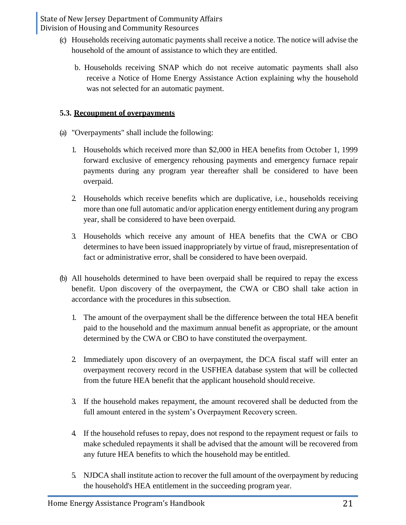- (c) Households receiving automatic payments shall receive a notice. The notice will advise the household of the amount of assistance to which they are entitled.
	- b. Households receiving SNAP which do not receive automatic payments shall also receive a Notice of Home Energy Assistance Action explaining why the household was not selected for an automatic payment.

# **5.3. Recoupment of overpayments**

- (a) "Overpayments" shall include the following:
	- 1. Households which received more than \$2,000 in HEA benefits from October 1, 1999 forward exclusive of emergency rehousing payments and emergency furnace repair payments during any program year thereafter shall be considered to have been overpaid.
	- 2. Households which receive benefits which are duplicative, i.e., households receiving more than one full automatic and/or application energy entitlement during any program year, shall be considered to have been overpaid.
	- 3. Households which receive any amount of HEA benefits that the CWA or CBO determines to have been issued inappropriately by virtue of fraud, misrepresentation of fact or administrative error, shall be considered to have been overpaid.
- (b) All households determined to have been overpaid shall be required to repay the excess benefit. Upon discovery of the overpayment, the CWA or CBO shall take action in accordance with the procedures in this subsection.
	- 1. The amount of the overpayment shall be the difference between the total HEA benefit paid to the household and the maximum annual benefit as appropriate, or the amount determined by the CWA or CBO to have constituted the overpayment.
	- 2. Immediately upon discovery of an overpayment, the DCA fiscal staff will enter an overpayment recovery record in the USFHEA database system that will be collected from the future HEA benefit that the applicant household should receive.
	- 3. If the household makes repayment, the amount recovered shall be deducted from the full amount entered in the system's Overpayment Recovery screen.
	- 4. If the household refuses to repay, does not respond to the repayment request or fails to make scheduled repayments it shall be advised that the amount will be recovered from any future HEA benefits to which the household may be entitled.
	- 5. NJDCA shall institute action to recover the full amount of the overpayment by reducing the household's HEA entitlement in the succeeding program year.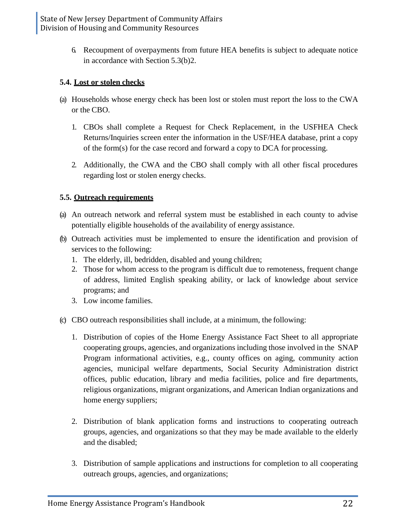6. Recoupment of overpayments from future HEA benefits is subject to adequate notice in accordance with Section 5.3(b)2.

# **5.4. Lost or stolen checks**

- (a) Households whose energy check has been lost or stolen must report the loss to the CWA or the CBO.
	- 1. CBOs shall complete a Request for Check Replacement, in the USFHEA Check Returns/Inquiries screen enter the information in the USF/HEA database, print a copy of the form(s) for the case record and forward a copy to DCA for processing.
	- 2. Additionally, the CWA and the CBO shall comply with all other fiscal procedures regarding lost or stolen energy checks.

# **5.5. Outreach requirements**

- (a) An outreach network and referral system must be established in each county to advise potentially eligible households of the availability of energy assistance.
- (b) Outreach activities must be implemented to ensure the identification and provision of services to the following:
	- 1. The elderly, ill, bedridden, disabled and young children;
	- 2. Those for whom access to the program is difficult due to remoteness, frequent change of address, limited English speaking ability, or lack of knowledge about service programs; and
	- 3. Low income families.
- (c) CBO outreach responsibilities shall include, at a minimum, the following:
	- 1. Distribution of copies of the Home Energy Assistance Fact Sheet to all appropriate cooperating groups, agencies, and organizations including those involved in the SNAP Program informational activities, e.g., county offices on aging, community action agencies, municipal welfare departments, Social Security Administration district offices, public education, library and media facilities, police and fire departments, religious organizations, migrant organizations, and American Indian organizations and home energy suppliers;
	- 2. Distribution of blank application forms and instructions to cooperating outreach groups, agencies, and organizations so that they may be made available to the elderly and the disabled;
	- 3. Distribution of sample applications and instructions for completion to all cooperating outreach groups, agencies, and organizations;